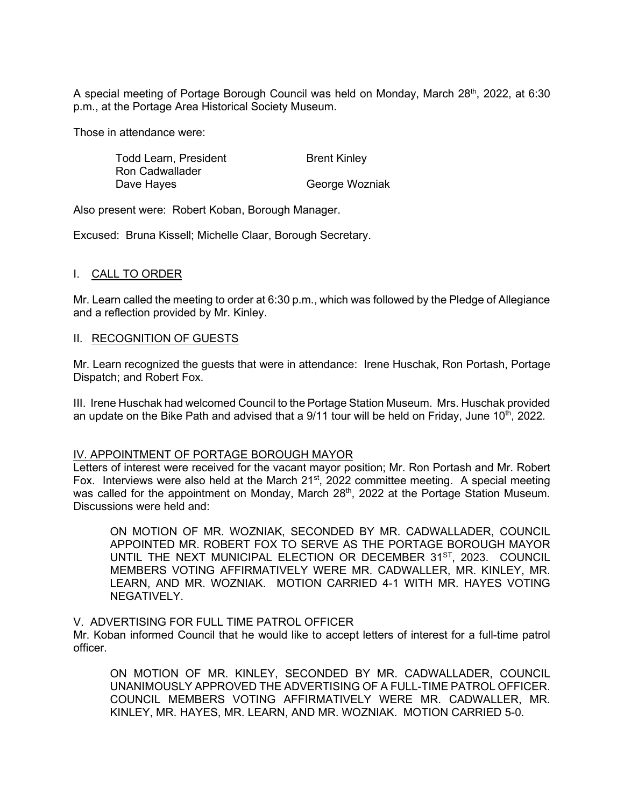A special meeting of Portage Borough Council was held on Monday, March  $28<sup>th</sup>$ , 2022, at 6:30 p.m., at the Portage Area Historical Society Museum.

Those in attendance were:

| Todd Learn, President  | <b>Brent Kinley</b> |
|------------------------|---------------------|
| <b>Ron Cadwallader</b> |                     |
| Dave Hayes             | George Wozniak      |

Also present were: Robert Koban, Borough Manager.

Excused: Bruna Kissell; Michelle Claar, Borough Secretary.

# I. CALL TO ORDER

Mr. Learn called the meeting to order at 6:30 p.m., which was followed by the Pledge of Allegiance and a reflection provided by Mr. Kinley.

## II. RECOGNITION OF GUESTS

Mr. Learn recognized the guests that were in attendance: Irene Huschak, Ron Portash, Portage Dispatch; and Robert Fox.

III. Irene Huschak had welcomed Council to the Portage Station Museum. Mrs. Huschak provided an update on the Bike Path and advised that a  $9/11$  tour will be held on Friday, June  $10<sup>th</sup>$ , 2022.

### IV. APPOINTMENT OF PORTAGE BOROUGH MAYOR

Letters of interest were received for the vacant mayor position; Mr. Ron Portash and Mr. Robert Fox. Interviews were also held at the March  $21^{st}$ , 2022 committee meeting. A special meeting was called for the appointment on Monday, March 28<sup>th</sup>, 2022 at the Portage Station Museum. Discussions were held and:

ON MOTION OF MR. WOZNIAK, SECONDED BY MR. CADWALLADER, COUNCIL APPOINTED MR. ROBERT FOX TO SERVE AS THE PORTAGE BOROUGH MAYOR UNTIL THE NEXT MUNICIPAL ELECTION OR DECEMBER 31<sup>ST</sup>, 2023. COUNCIL MEMBERS VOTING AFFIRMATIVELY WERE MR. CADWALLER, MR. KINLEY, MR. LEARN, AND MR. WOZNIAK. MOTION CARRIED 4-1 WITH MR. HAYES VOTING NEGATIVELY.

### V. ADVERTISING FOR FULL TIME PATROL OFFICER

Mr. Koban informed Council that he would like to accept letters of interest for a full-time patrol officer.

ON MOTION OF MR. KINLEY, SECONDED BY MR. CADWALLADER, COUNCIL UNANIMOUSLY APPROVED THE ADVERTISING OF A FULL-TIME PATROL OFFICER. COUNCIL MEMBERS VOTING AFFIRMATIVELY WERE MR. CADWALLER, MR. KINLEY, MR. HAYES, MR. LEARN, AND MR. WOZNIAK. MOTION CARRIED 5-0.